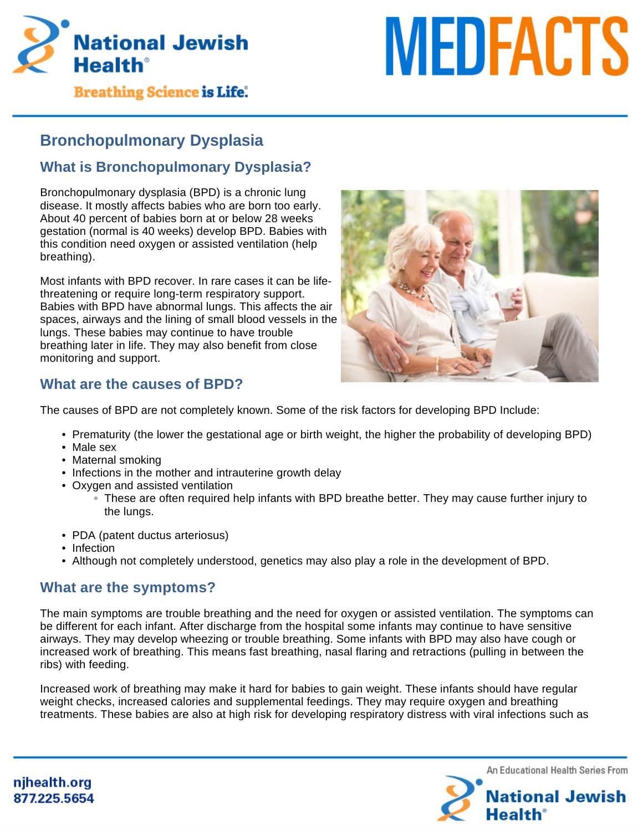

# **MEDFACTS**

**Breathing Science is Life.** 

# **Bronchopulmonary Dysplasia**

# **What is Bronchopulmonary Dysplasia?**

Bronchopulmonary dysplasia (BPD) is a chronic lung disease. It mostly affects babies who are born too early. About 40 percent of babies born at or below 28 weeks gestation (normal is 40 weeks) develop BPD. Babies with this condition need oxygen or assisted ventilation (help breathing).

Most infants with BPD recover. In rare cases it can be lifethreatening or require long-term respiratory support. Babies with BPD have abnormal lungs. This affects the air spaces, airways and the lining of small blood vessels in the lungs. These babies may continue to have trouble breathing later in life. They may also benefit from close monitoring and support.



# **What are the causes of BPD?**

The causes of BPD are not completely known. Some of the risk factors for developing BPD Include:

- Prematurity (the lower the gestational age or birth weight, the higher the probability of developing BPD)
- Male sex
- Maternal smoking
- Infections in the mother and intrauterine growth delay
- Oxygen and assisted ventilation
	- These are often required help infants with BPD breathe better. They may cause further injury to the lungs.
- PDA (patent ductus arteriosus)
- Infection
- Although not completely understood, genetics may also play a role in the development of BPD.

# **What are the symptoms?**

The main symptoms are trouble breathing and the need for oxygen or assisted ventilation. The symptoms can be different for each infant. After discharge from the hospital some infants may continue to have sensitive airways. They may develop wheezing or trouble breathing. Some infants with BPD may also have cough or increased work of breathing. This means fast breathing, nasal flaring and retractions (pulling in between the ribs) with feeding.

Increased work of breathing may make it hard for babies to gain weight. These infants should have regular weight checks, increased calories and supplemental feedings. They may require oxygen and breathing treatments. These babies are also at high risk for developing respiratory distress with viral infections such as



njhealth.org 877.225.5654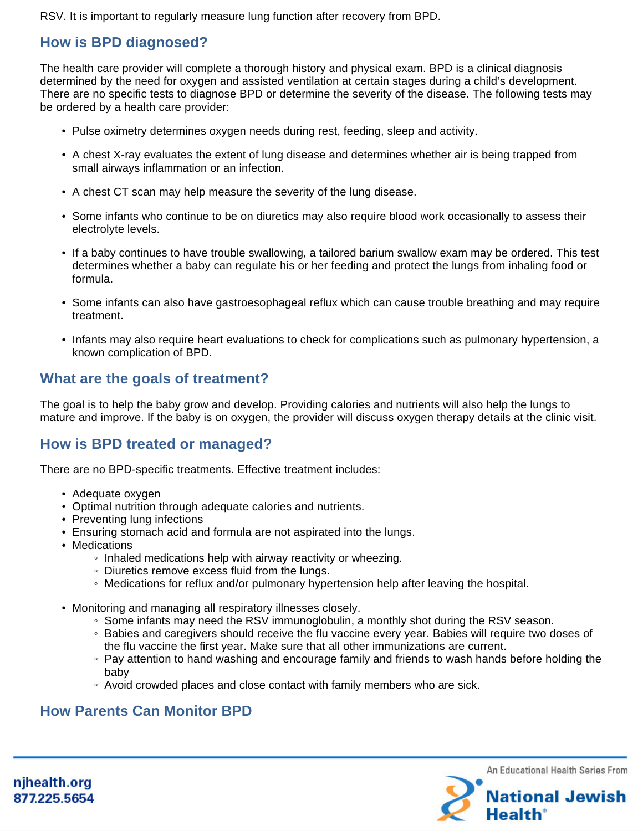RSV. It is important to regularly measure lung function after recovery from BPD.

# **How is BPD diagnosed?**

The health care provider will complete a thorough history and physical exam. BPD is a clinical diagnosis determined by the need for oxygen and assisted ventilation at certain stages during a child's development. There are no specific tests to diagnose BPD or determine the severity of the disease. The following tests may be ordered by a health care provider:

- Pulse oximetry determines oxygen needs during rest, feeding, sleep and activity.
- A chest X-ray evaluates the extent of lung disease and determines whether air is being trapped from small airways inflammation or an infection.
- A chest CT scan may help measure the severity of the lung disease.
- Some infants who continue to be on diuretics may also require blood work occasionally to assess their electrolyte levels.
- If a baby continues to have trouble swallowing, a tailored barium swallow exam may be ordered. This test determines whether a baby can regulate his or her feeding and protect the lungs from inhaling food or formula.
- Some infants can also have gastroesophageal reflux which can cause trouble breathing and may require treatment.
- Infants may also require heart evaluations to check for complications such as pulmonary hypertension, a known complication of BPD.

# **What are the goals of treatment?**

The goal is to help the baby grow and develop. Providing calories and nutrients will also help the lungs to mature and improve. If the baby is on oxygen, the provider will discuss oxygen therapy details at the clinic visit.

# **How is BPD treated or managed?**

There are no BPD-specific treatments. Effective treatment includes:

- Adequate oxygen
- Optimal nutrition through adequate calories and nutrients.
- Preventing lung infections
- Ensuring stomach acid and formula are not aspirated into the lungs.
- Medications
	- Inhaled medications help with airway reactivity or wheezing.
	- Diuretics remove excess fluid from the lungs.
	- Medications for reflux and/or pulmonary hypertension help after leaving the hospital.
- Monitoring and managing all respiratory illnesses closely.
	- Some infants may need the RSV immunoglobulin, a monthly shot during the RSV season.
	- Babies and caregivers should receive the flu vaccine every year. Babies will require two doses of the flu vaccine the first year. Make sure that all other immunizations are current.
	- Pay attention to hand washing and encourage family and friends to wash hands before holding the baby
	- Avoid crowded places and close contact with family members who are sick.

# **How Parents Can Monitor BPD**



njhealth.org 877.225.5654